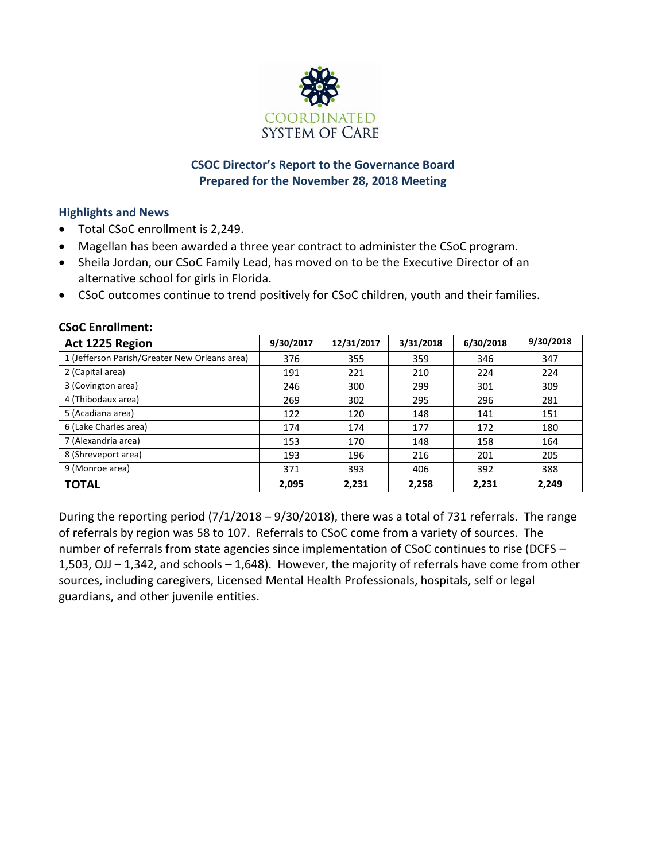

# **CSOC Director's Report to the Governance Board Prepared for the November 28, 2018 Meeting**

## **Highlights and News**

- Total CSoC enrollment is 2,249.
- Magellan has been awarded a three year contract to administer the CSoC program.
- Sheila Jordan, our CSoC Family Lead, has moved on to be the Executive Director of an alternative school for girls in Florida.
- CSoC outcomes continue to trend positively for CSoC children, youth and their families.

| Act 1225 Region                               | 9/30/2017 | 12/31/2017 | 3/31/2018 | 6/30/2018 | 9/30/2018 |
|-----------------------------------------------|-----------|------------|-----------|-----------|-----------|
| 1 (Jefferson Parish/Greater New Orleans area) | 376       | 355        | 359       | 346       | 347       |
| 2 (Capital area)                              | 191       | 221        | 210       | 224       | 224       |
| 3 (Covington area)                            | 246       | 300        | 299       | 301       | 309       |
| 4 (Thibodaux area)                            | 269       | 302        | 295       | 296       | 281       |
| 5 (Acadiana area)                             | 122       | 120        | 148       | 141       | 151       |
| 6 (Lake Charles area)                         | 174       | 174        | 177       | 172       | 180       |
| 7 (Alexandria area)                           | 153       | 170        | 148       | 158       | 164       |
| 8 (Shreveport area)                           | 193       | 196        | 216       | 201       | 205       |
| 9 (Monroe area)                               | 371       | 393        | 406       | 392       | 388       |
| <b>TOTAL</b>                                  | 2,095     | 2,231      | 2,258     | 2,231     | 2,249     |

#### **CSoC Enrollment:**

During the reporting period (7/1/2018 – 9/30/2018), there was a total of 731 referrals. The range of referrals by region was 58 to 107. Referrals to CSoC come from a variety of sources. The number of referrals from state agencies since implementation of CSoC continues to rise (DCFS – 1,503, OJJ – 1,342, and schools – 1,648). However, the majority of referrals have come from other sources, including caregivers, Licensed Mental Health Professionals, hospitals, self or legal guardians, and other juvenile entities.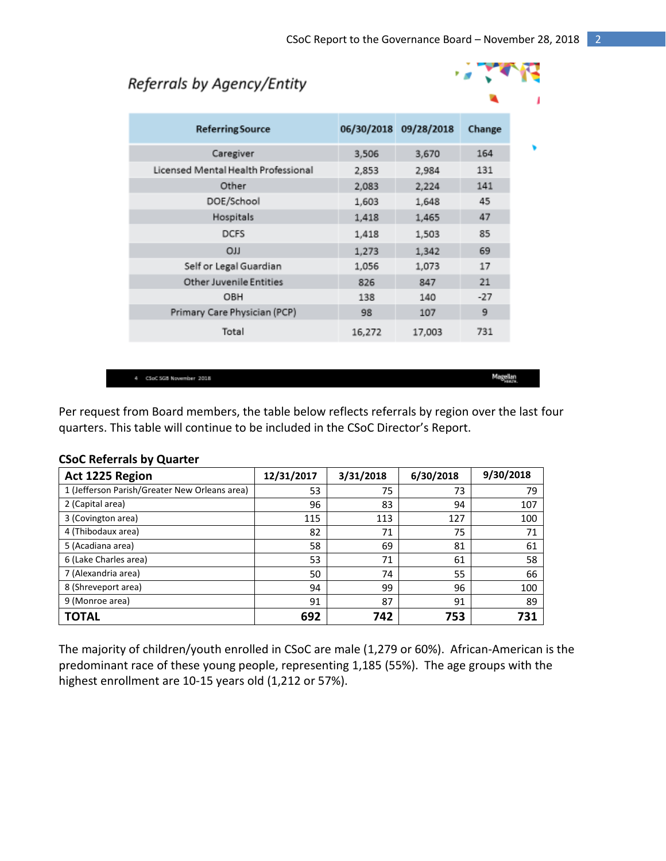**PARTIES** 

# Referrals by Agency/Entity

| <b>Referring Source</b>             |        | 06/30/2018 09/28/2018 | Change |
|-------------------------------------|--------|-----------------------|--------|
| Caregiver                           | 3,506  | 3,670                 | 164    |
| Licensed Mental Health Professional | 2,853  | 2,984                 | 131    |
| Other                               | 2,083  | 2,224                 | 141    |
| DOE/School                          | 1,603  | 1,648                 | 45     |
| Hospitals                           | 1,418  | 1,465                 | 47     |
| <b>DCFS</b>                         | 1,418  | 1,503                 | 85     |
| <b>CILO</b>                         | 1,273  | 1,342                 | 69     |
| Self or Legal Guardian              | 1,056  | 1,073                 | 17     |
| <b>Other Juvenile Entities</b>      | 826    | 847                   | 21     |
| OBH                                 | 138    | 140                   | $-27$  |
| Primary Care Physician (PCP)        | 98     | 107                   | 9      |
| Total                               | 16,272 | 17,003                | 731    |

4 CSoC SGB November 2018

Magellan

Per request from Board members, the table below reflects referrals by region over the last four quarters. This table will continue to be included in the CSoC Director's Report.

| Act 1225 Region                               | 12/31/2017 | 3/31/2018 | 6/30/2018 | 9/30/2018 |
|-----------------------------------------------|------------|-----------|-----------|-----------|
| 1 (Jefferson Parish/Greater New Orleans area) | 53         | 75        | 73        | 79        |
| 2 (Capital area)                              | 96         | 83        | 94        | 107       |
| 3 (Covington area)                            | 115        | 113       | 127       | 100       |
| 4 (Thibodaux area)                            | 82         | 71        | 75        | 71        |
| 5 (Acadiana area)                             | 58         | 69        | 81        | 61        |
| 6 (Lake Charles area)                         | 53         | 71        | 61        | 58        |
| 7 (Alexandria area)                           | 50         | 74        | 55        | 66        |
| 8 (Shreveport area)                           | 94         | 99        | 96        | 100       |
| 9 (Monroe area)                               | 91         | 87        | 91        | 89        |
| <b>TOTAL</b>                                  | 692        | 742       | 753       | 731       |

#### **CSoC Referrals by Quarter**

The majority of children/youth enrolled in CSoC are male (1,279 or 60%). African-American is the predominant race of these young people, representing 1,185 (55%). The age groups with the highest enrollment are 10-15 years old (1,212 or 57%).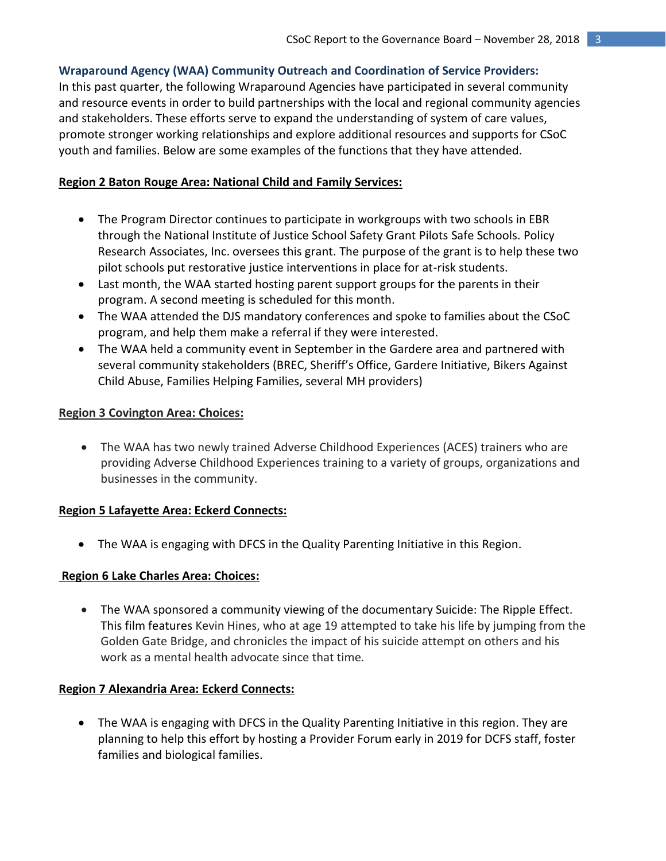## **Wraparound Agency (WAA) Community Outreach and Coordination of Service Providers:**

In this past quarter, the following Wraparound Agencies have participated in several community and resource events in order to build partnerships with the local and regional community agencies and stakeholders. These efforts serve to expand the understanding of system of care values, promote stronger working relationships and explore additional resources and supports for CSoC youth and families. Below are some examples of the functions that they have attended.

## **Region 2 Baton Rouge Area: National Child and Family Services:**

- The Program Director continues to participate in workgroups with two schools in EBR through the National Institute of Justice School Safety Grant Pilots Safe Schools. Policy Research Associates, Inc. oversees this grant. The purpose of the grant is to help these two pilot schools put restorative justice interventions in place for at-risk students.
- Last month, the WAA started hosting parent support groups for the parents in their program. A second meeting is scheduled for this month.
- The WAA attended the DJS mandatory conferences and spoke to families about the CSoC program, and help them make a referral if they were interested.
- The WAA held a community event in September in the Gardere area and partnered with several community stakeholders (BREC, Sheriff's Office, Gardere Initiative, Bikers Against Child Abuse, Families Helping Families, several MH providers)

## **Region 3 Covington Area: Choices:**

 The WAA has two newly trained Adverse Childhood Experiences (ACES) trainers who are providing Adverse Childhood Experiences training to a variety of groups, organizations and businesses in the community.

## **Region 5 Lafayette Area: Eckerd Connects:**

The WAA is engaging with DFCS in the Quality Parenting Initiative in this Region.

## **Region 6 Lake Charles Area: Choices:**

 The WAA sponsored a community viewing of the documentary Suicide: The Ripple Effect. This film features Kevin Hines, who at age 19 attempted to take his life by jumping from the Golden Gate Bridge, and chronicles the impact of his suicide attempt on others and his work as a mental health advocate since that time.

## **Region 7 Alexandria Area: Eckerd Connects:**

 The WAA is engaging with DFCS in the Quality Parenting Initiative in this region. They are planning to help this effort by hosting a Provider Forum early in 2019 for DCFS staff, foster families and biological families.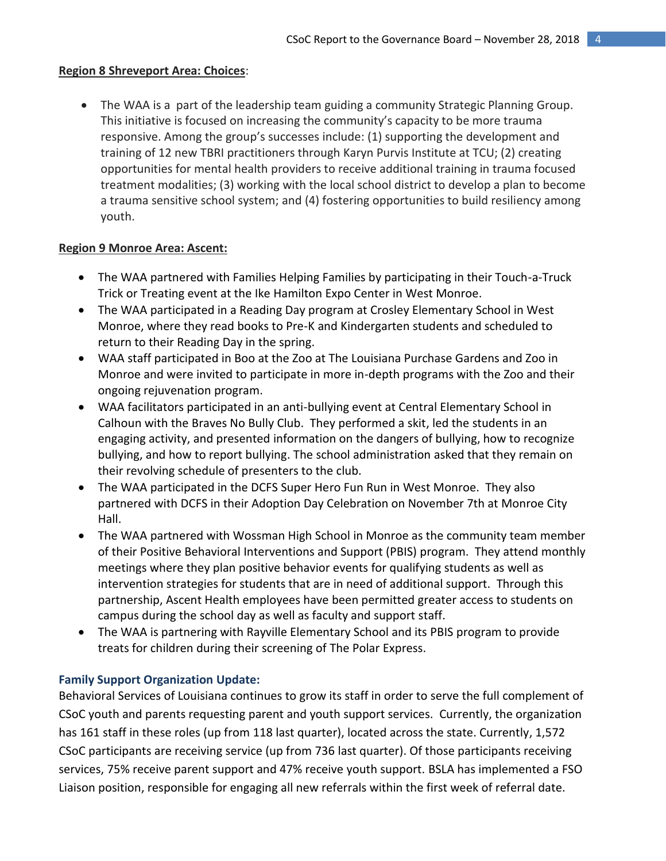## **Region 8 Shreveport Area: Choices**:

 The WAA is a part of the leadership team guiding a community Strategic Planning Group. This initiative is focused on increasing the community's capacity to be more trauma responsive. Among the group's successes include: (1) supporting the development and training of 12 new TBRI practitioners through Karyn Purvis Institute at TCU; (2) creating opportunities for mental health providers to receive additional training in trauma focused treatment modalities; (3) working with the local school district to develop a plan to become a trauma sensitive school system; and (4) fostering opportunities to build resiliency among youth.

## **Region 9 Monroe Area: Ascent:**

- The WAA partnered with Families Helping Families by participating in their Touch-a-Truck Trick or Treating event at the Ike Hamilton Expo Center in West Monroe.
- The WAA participated in a Reading Day program at Crosley Elementary School in West Monroe, where they read books to Pre-K and Kindergarten students and scheduled to return to their Reading Day in the spring.
- WAA staff participated in Boo at the Zoo at The Louisiana Purchase Gardens and Zoo in Monroe and were invited to participate in more in-depth programs with the Zoo and their ongoing rejuvenation program.
- WAA facilitators participated in an anti-bullying event at Central Elementary School in Calhoun with the Braves No Bully Club. They performed a skit, led the students in an engaging activity, and presented information on the dangers of bullying, how to recognize bullying, and how to report bullying. The school administration asked that they remain on their revolving schedule of presenters to the club.
- The WAA participated in the DCFS Super Hero Fun Run in West Monroe. They also partnered with DCFS in their Adoption Day Celebration on November 7th at Monroe City Hall.
- The WAA partnered with Wossman High School in Monroe as the community team member of their Positive Behavioral Interventions and Support (PBIS) program. They attend monthly meetings where they plan positive behavior events for qualifying students as well as intervention strategies for students that are in need of additional support. Through this partnership, Ascent Health employees have been permitted greater access to students on campus during the school day as well as faculty and support staff.
- The WAA is partnering with Rayville Elementary School and its PBIS program to provide treats for children during their screening of The Polar Express.

## **Family Support Organization Update:**

Behavioral Services of Louisiana continues to grow its staff in order to serve the full complement of CSoC youth and parents requesting parent and youth support services. Currently, the organization has 161 staff in these roles (up from 118 last quarter), located across the state. Currently, 1,572 CSoC participants are receiving service (up from 736 last quarter). Of those participants receiving services, 75% receive parent support and 47% receive youth support. BSLA has implemented a FSO Liaison position, responsible for engaging all new referrals within the first week of referral date.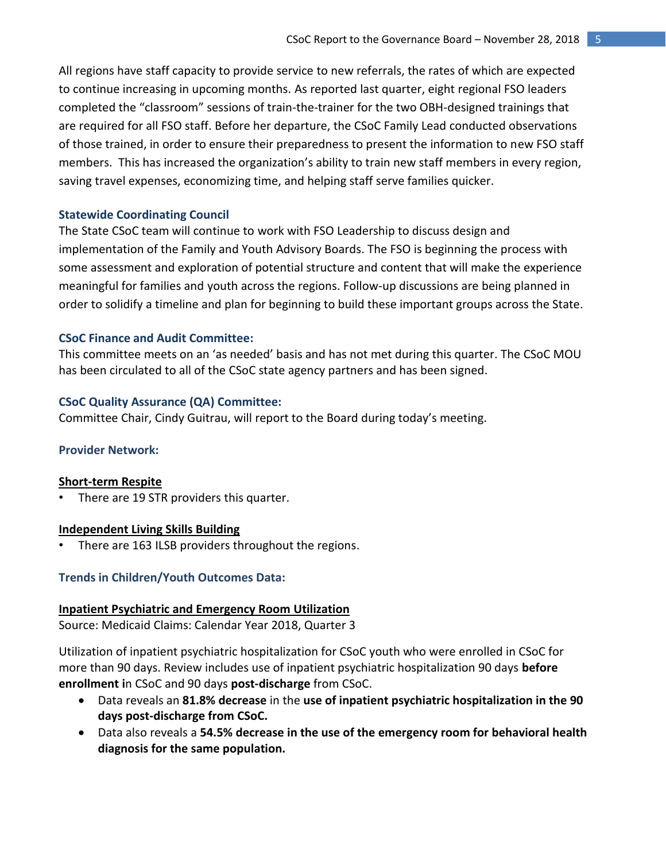All regions have staff capacity to provide service to new referrals, the rates of which are expected to continue increasing in upcoming months. As reported last quarter, eight regional FSO leaders completed the "classroom" sessions of train-the-trainer for the two OBH-designed trainings that are required for all FSO staff. Before her departure, the CSoC Family Lead conducted observations of those trained, in order to ensure their preparedness to present the information to new FSO staff members. This has increased the organization's ability to train new staff members in every region, saving travel expenses, economizing time, and helping staff serve families quicker.

#### **Statewide Coordinating Council**

The State CSoC team will continue to work with FSO Leadership to discuss design and implementation of the Family and Youth Advisory Boards. The FSO is beginning the process with some assessment and exploration of potential structure and content that will make the experience meaningful for families and youth across the regions. Follow-up discussions are being planned in order to solidify a timeline and plan for beginning to build these important groups across the State.

#### **CSoC Finance and Audit Committee:**

This committee meets on an 'as needed' basis and has not met during this quarter. The CSoC MOU has been circulated to all of the CSoC state agency partners and has been signed.

#### **CSoC Quality Assurance (QA) Committee:**

Committee Chair, Cindy Guitrau, will report to the Board during today's meeting.

#### **Provider Network:**

#### **Short-term Respite**

There are 19 STR providers this quarter.

#### **Independent Living Skills Building**

There are 163 ILSB providers throughout the regions.

### **Trends in Children/Youth Outcomes Data:**

#### **Inpatient Psychiatric and Emergency Room Utilization**

Source: Medicaid Claims: Calendar Year 2018, Quarter 3

Utilization of inpatient psychiatric hospitalization for CSoC youth who were enrolled in CSoC for more than 90 days. Review includes use of inpatient psychiatric hospitalization 90 days **before enrollment i**n CSoC and 90 days **post-discharge** from CSoC.

- Data reveals an **81.8% decrease** in the **use of inpatient psychiatric hospitalization in the 90 days post-discharge from CSoC.**
- Data also reveals a **54.5% decrease in the use of the emergency room for behavioral health diagnosis for the same population.**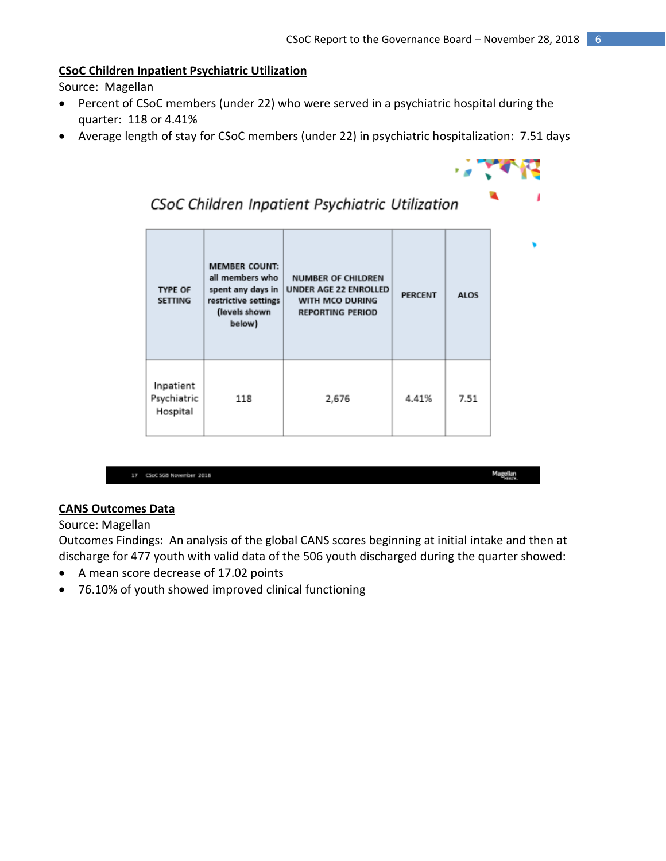### **CSoC Children Inpatient Psychiatric Utilization**

Source: Magellan

- Percent of CSoC members (under 22) who were served in a psychiatric hospital during the quarter: 118 or 4.41%
- Average length of stay for CSoC members (under 22) in psychiatric hospitalization: 7.51 days



# CSoC Children Inpatient Psychiatric Utilization

| <b>TYPE OF</b><br><b>SETTING</b>     | <b>MEMBER COUNT:</b><br>all members who<br>spent any days in<br>restrictive settings<br>(levels shown<br>below) | <b>NUMBER OF CHILDREN</b><br>UNDER AGE 22 ENROLLED<br>WITH MCO DURING<br><b>REPORTING PERIOD</b> | <b>PERCENT</b> | <b>ALOS</b> |
|--------------------------------------|-----------------------------------------------------------------------------------------------------------------|--------------------------------------------------------------------------------------------------|----------------|-------------|
| Inpatient<br>Psychiatric<br>Hospital | 118                                                                                                             | 2,676                                                                                            | 4.41%          | 7.51        |

|  | 17 CSoC 5GB November 2018 |  |
|--|---------------------------|--|
|  |                           |  |

Magellan<br>Hasil

## **CANS Outcomes Data**

Source: Magellan

Outcomes Findings: An analysis of the global CANS scores beginning at initial intake and then at discharge for 477 youth with valid data of the 506 youth discharged during the quarter showed:

- A mean score decrease of 17.02 points
- 76.10% of youth showed improved clinical functioning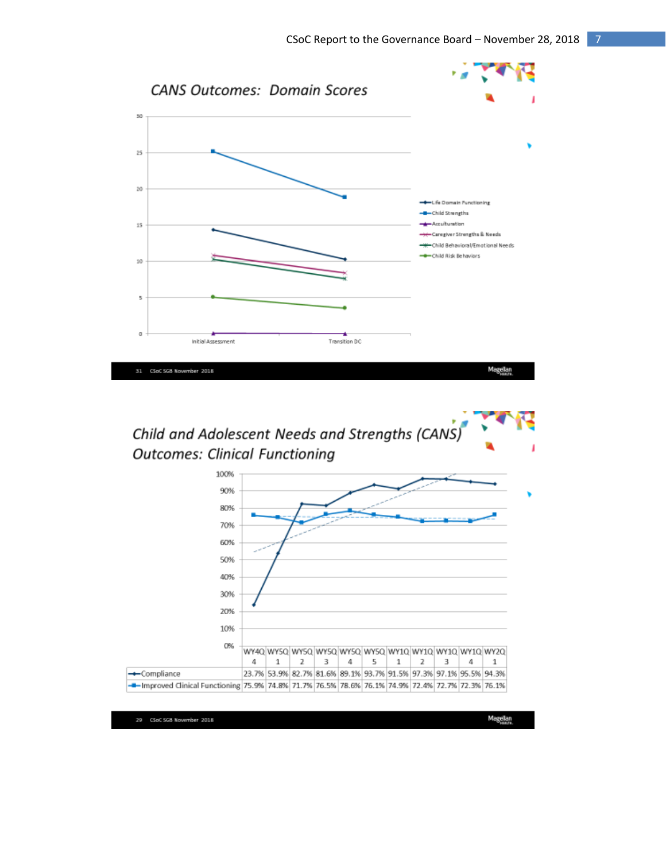

Child and Adolescent Needs and Strengths (CANS) **Outcomes: Clinical Functioning** 



29 CSoC SGB November 2018

Magellan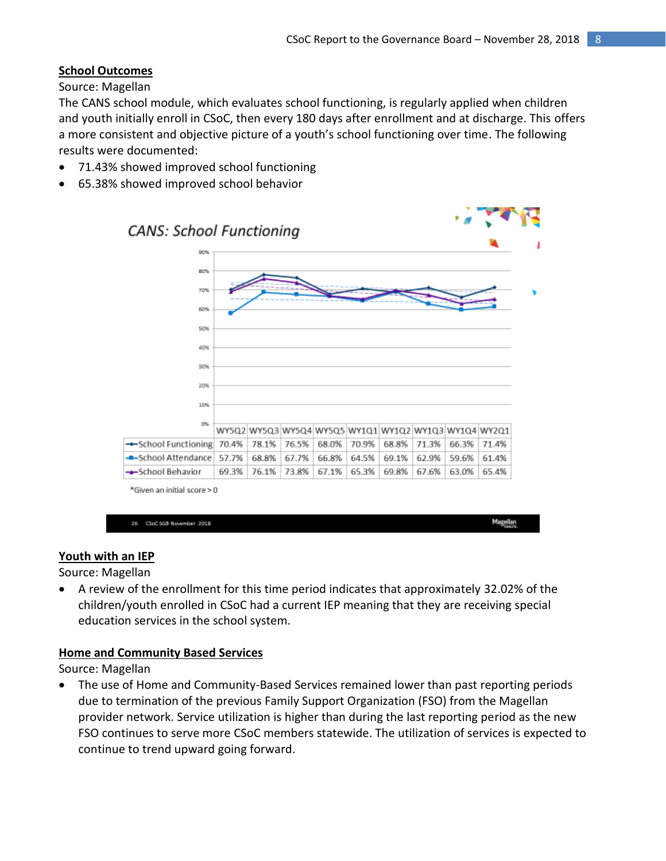Magellan<br><sup>Haste</sup>

# **School Outcomes**

Source: Magellan

The CANS school module, which evaluates school functioning, is regularly applied when children and youth initially enroll in CSoC, then every 180 days after enrollment and at discharge. This offers a more consistent and objective picture of a youth's school functioning over time. The following results were documented:

- 71.43% showed improved school functioning
- 65.38% showed improved school behavior



**Youth with an IEP** Source: Magellan

 A review of the enrollment for this time period indicates that approximately 32.02% of the children/youth enrolled in CSoC had a current IEP meaning that they are receiving special education services in the school system.

## **Home and Community Based Services**

26 CSoC SGB November 2018

Source: Magellan

 The use of Home and Community-Based Services remained lower than past reporting periods due to termination of the previous Family Support Organization (FSO) from the Magellan provider network. Service utilization is higher than during the last reporting period as the new FSO continues to serve more CSoC members statewide. The utilization of services is expected to continue to trend upward going forward.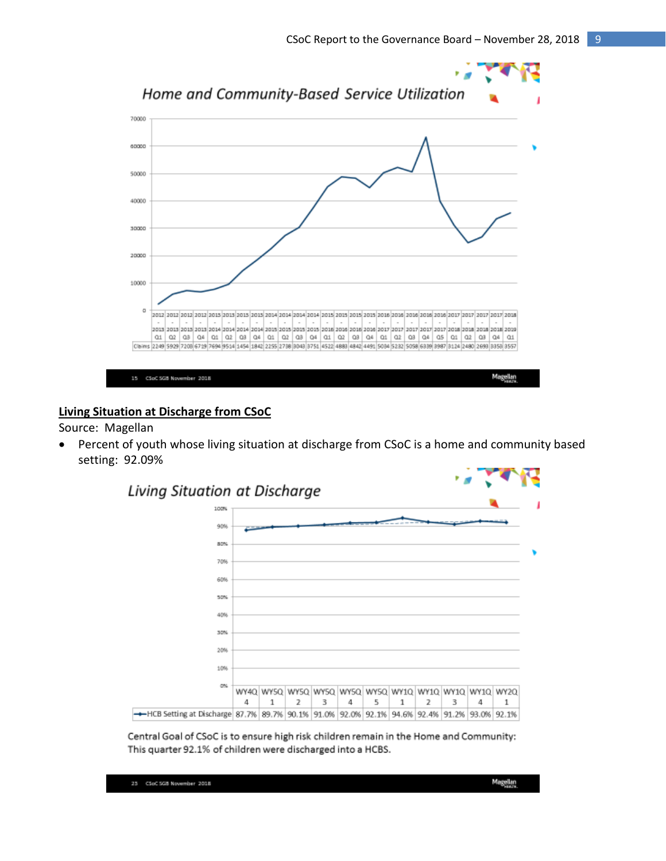

# **Living Situation at Discharge from CSoC**

Source: Magellan

 Percent of youth whose living situation at discharge from CSoC is a home and community based setting: 92.09%



Central Goal of CSoC is to ensure high risk children remain in the Home and Community: This quarter 92.1% of children were discharged into a HCBS.